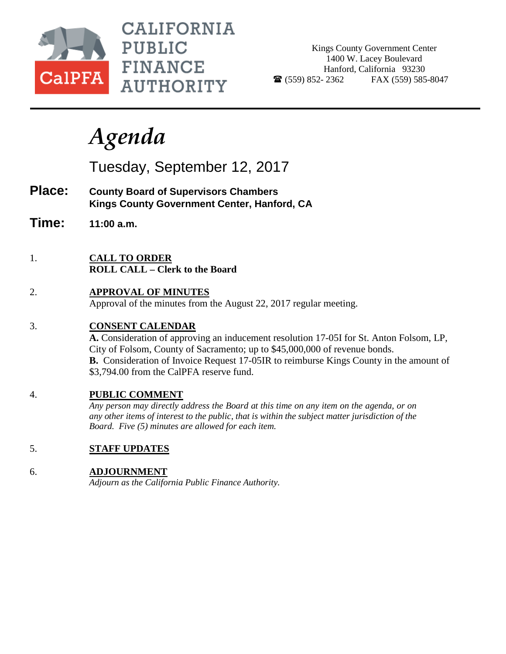

**CALIFORNIA PUBLIC FINANCE AUTHORITY** 

Kings County Government Center 1400 W. Lacey Boulevard Hanford, California 93230  $\bullet$  (559) 852-2362 FAX (559) 585-8047

# *Agenda*

Tuesday, September 12, 2017

- **Place: County Board of Supervisors Chambers Kings County Government Center, Hanford, CA**
- **Time: 11:00 a.m.**
- 1. **CALL TO ORDER ROLL CALL – Clerk to the Board**
- 2. **APPROVAL OF MINUTES** Approval of the minutes from the August 22, 2017 regular meeting.

# 3. **CONSENT CALENDAR**

**A.** Consideration of approving an inducement resolution 17-05I for St. Anton Folsom, LP, City of Folsom, County of Sacramento; up to \$45,000,000 of revenue bonds. **B.** Consideration of Invoice Request 17-05IR to reimburse Kings County in the amount of \$3,794.00 from the CalPFA reserve fund.

# 4. **PUBLIC COMMENT**

*Any person may directly address the Board at this time on any item on the agenda, or on any other items of interest to the public, that is within the subject matter jurisdiction of the Board. Five (5) minutes are allowed for each item.*

5. **STAFF UPDATES**

### 6. **ADJOURNMENT**

*Adjourn as the California Public Finance Authority.*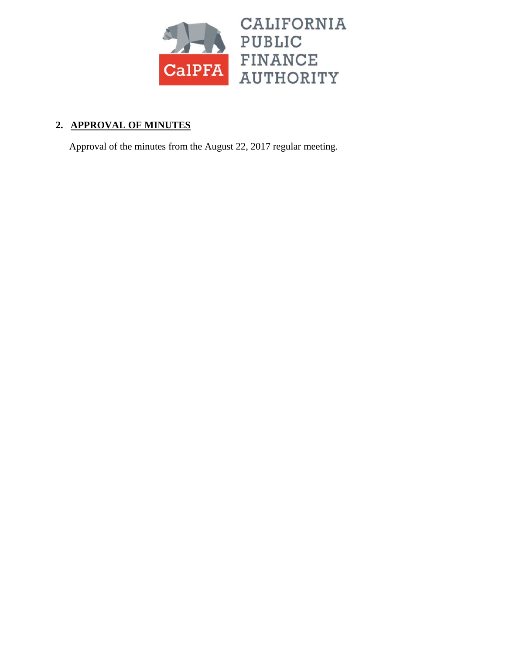

# **2. APPROVAL OF MINUTES**

Approval of the minutes from the August 22, 2017 regular meeting.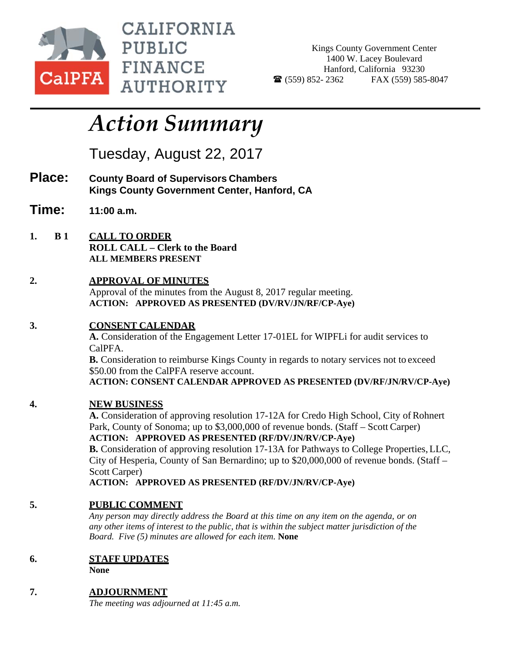

CALIFORNIA PUBLIC **FINANCE AUTHORITY** 

Kings County Government Center 1400 W. Lacey Boulevard Hanford, California 93230  $\bullet$  (559) 852- 2362 FAX (559) 585-8047

# *Action Summary*

Tuesday, August 22, 2017

- **Place: County Board of Supervisors Chambers Kings County Government Center, Hanford, CA**
- **Time: 11:00 a.m.**
- **1. B 1 CALL TO ORDER ROLL CALL – Clerk to the Board ALL MEMBERS PRESENT**
- **2. APPROVAL OF MINUTES**  Approval of the minutes from the August 8, 2017 regular meeting. **ACTION: APPROVED AS PRESENTED (DV/RV/JN/RF/CP-Aye)**

# **3. CONSENT CALENDAR**

**A.** Consideration of the Engagement Letter 17-01EL for WIPFLi for audit services to CalPFA.

**B.** Consideration to reimburse Kings County in regards to notary services not to exceed \$50.00 from the CalPFA reserve account.

**ACTION: CONSENT CALENDAR APPROVED AS PRESENTED (DV/RF/JN/RV/CP-Aye)** 

# **4. NEW BUSINESS**

**A.** Consideration of approving resolution 17-12A for Credo High School, City of Rohnert Park, County of Sonoma; up to \$3,000,000 of revenue bonds. (Staff – Scott Carper) **ACTION: APPROVED AS PRESENTED (RF/DV/JN/RV/CP-Aye)**

**B.** Consideration of approving resolution 17-13A for Pathways to College Properties, LLC, City of Hesperia, County of San Bernardino; up to \$20,000,000 of revenue bonds. (Staff – Scott Carper)

**ACTION: APPROVED AS PRESENTED (RF/DV/JN/RV/CP-Aye)**

# **5. PUBLIC COMMENT**

*Any person may directly address the Board at this time on any item on the agenda, or on any other items of interest to the public, that is within the subject matter jurisdiction of the Board. Five (5) minutes are allowed for each item.* **None** 

**6. STAFF UPDATES** 

**None** 

**7. ADJOURNMENT** 

*The meeting was adjourned at 11:45 a.m.*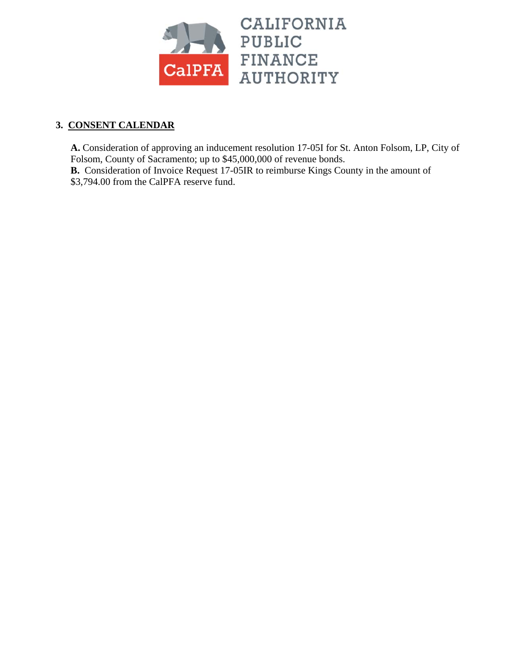

# **3. CONSENT CALENDAR**

**A.** Consideration of approving an inducement resolution 17-05I for St. Anton Folsom, LP, City of Folsom, County of Sacramento; up to \$45,000,000 of revenue bonds.

**B.** Consideration of Invoice Request 17-05IR to reimburse Kings County in the amount of \$3,794.00 from the CalPFA reserve fund.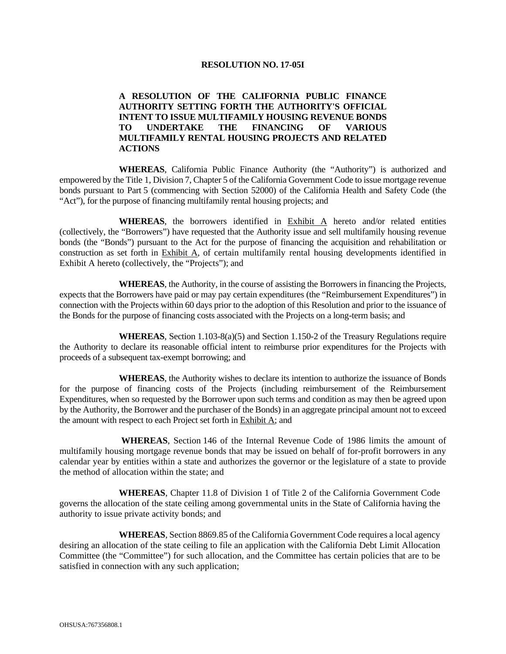#### **RESOLUTION NO. 17-05I**

#### **A RESOLUTION OF THE CALIFORNIA PUBLIC FINANCE AUTHORITY SETTING FORTH THE AUTHORITY'S OFFICIAL INTENT TO ISSUE MULTIFAMILY HOUSING REVENUE BONDS<br>
TO UNDERTAKE THE FINANCING OF VARIOUS TO UNDERTAKE THE FINANCING OF VARIOUS MULTIFAMILY RENTAL HOUSING PROJECTS AND RELATED ACTIONS**

 **WHEREAS**, California Public Finance Authority (the "Authority") is authorized and empowered by the Title 1, Division 7, Chapter 5 of the California Government Code to issue mortgage revenue bonds pursuant to Part 5 (commencing with Section 52000) of the California Health and Safety Code (the "Act"), for the purpose of financing multifamily rental housing projects; and

 **WHEREAS**, the borrowers identified in Exhibit A hereto and/or related entities (collectively, the "Borrowers") have requested that the Authority issue and sell multifamily housing revenue bonds (the "Bonds") pursuant to the Act for the purpose of financing the acquisition and rehabilitation or construction as set forth in Exhibit A, of certain multifamily rental housing developments identified in Exhibit A hereto (collectively, the "Projects"); and

 **WHEREAS**, the Authority, in the course of assisting the Borrowers in financing the Projects, expects that the Borrowers have paid or may pay certain expenditures (the "Reimbursement Expenditures") in connection with the Projects within 60 days prior to the adoption of this Resolution and prior to the issuance of the Bonds for the purpose of financing costs associated with the Projects on a long-term basis; and

 **WHEREAS**, Section 1.103-8(a)(5) and Section 1.150-2 of the Treasury Regulations require the Authority to declare its reasonable official intent to reimburse prior expenditures for the Projects with proceeds of a subsequent tax-exempt borrowing; and

 **WHEREAS**, the Authority wishes to declare its intention to authorize the issuance of Bonds for the purpose of financing costs of the Projects (including reimbursement of the Reimbursement Expenditures, when so requested by the Borrower upon such terms and condition as may then be agreed upon by the Authority, the Borrower and the purchaser of the Bonds) in an aggregate principal amount not to exceed the amount with respect to each Project set forth in Exhibit A; and

 **WHEREAS**, Section 146 of the Internal Revenue Code of 1986 limits the amount of multifamily housing mortgage revenue bonds that may be issued on behalf of for-profit borrowers in any calendar year by entities within a state and authorizes the governor or the legislature of a state to provide the method of allocation within the state; and

 **WHEREAS**, Chapter 11.8 of Division 1 of Title 2 of the California Government Code governs the allocation of the state ceiling among governmental units in the State of California having the authority to issue private activity bonds; and

 **WHEREAS**, Section 8869.85 of the California Government Code requires a local agency desiring an allocation of the state ceiling to file an application with the California Debt Limit Allocation Committee (the "Committee") for such allocation, and the Committee has certain policies that are to be satisfied in connection with any such application;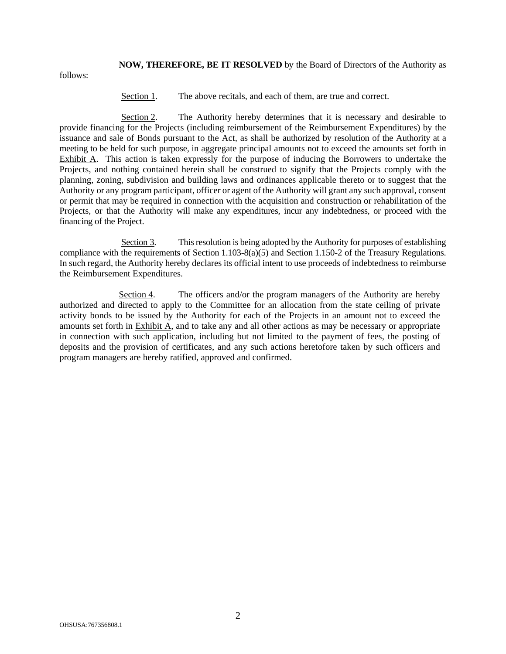**NOW, THEREFORE, BE IT RESOLVED** by the Board of Directors of the Authority as

follows:

Section 1. The above recitals, and each of them, are true and correct.

 Section 2. The Authority hereby determines that it is necessary and desirable to provide financing for the Projects (including reimbursement of the Reimbursement Expenditures) by the issuance and sale of Bonds pursuant to the Act, as shall be authorized by resolution of the Authority at a meeting to be held for such purpose, in aggregate principal amounts not to exceed the amounts set forth in Exhibit A. This action is taken expressly for the purpose of inducing the Borrowers to undertake the Projects, and nothing contained herein shall be construed to signify that the Projects comply with the planning, zoning, subdivision and building laws and ordinances applicable thereto or to suggest that the Authority or any program participant, officer or agent of the Authority will grant any such approval, consent or permit that may be required in connection with the acquisition and construction or rehabilitation of the Projects, or that the Authority will make any expenditures, incur any indebtedness, or proceed with the financing of the Project.

 Section 3. This resolution is being adopted by the Authority for purposes of establishing compliance with the requirements of Section 1.103-8(a)(5) and Section 1.150-2 of the Treasury Regulations. In such regard, the Authority hereby declares its official intent to use proceeds of indebtedness to reimburse the Reimbursement Expenditures.

 Section 4. The officers and/or the program managers of the Authority are hereby authorized and directed to apply to the Committee for an allocation from the state ceiling of private activity bonds to be issued by the Authority for each of the Projects in an amount not to exceed the amounts set forth in Exhibit A, and to take any and all other actions as may be necessary or appropriate in connection with such application, including but not limited to the payment of fees, the posting of deposits and the provision of certificates, and any such actions heretofore taken by such officers and program managers are hereby ratified, approved and confirmed.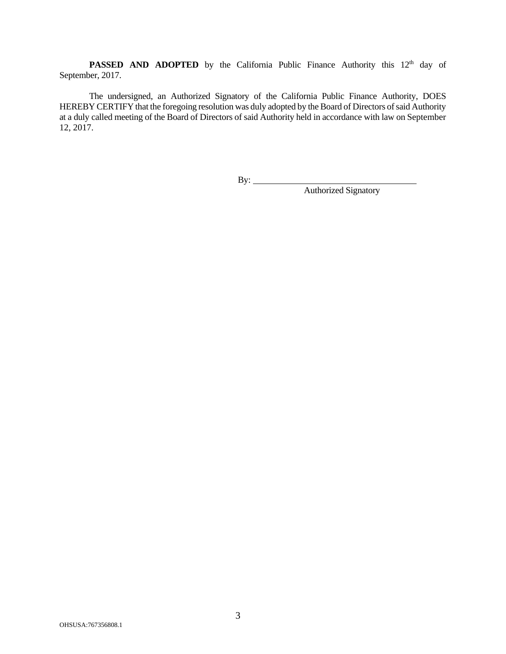**PASSED AND ADOPTED** by the California Public Finance Authority this 12<sup>th</sup> day of September, 2017.

 The undersigned, an Authorized Signatory of the California Public Finance Authority, DOES HEREBY CERTIFY that the foregoing resolution was duly adopted by the Board of Directors of said Authority at a duly called meeting of the Board of Directors of said Authority held in accordance with law on September 12, 2017.

By:

By: <u>Authorized Signatory</u>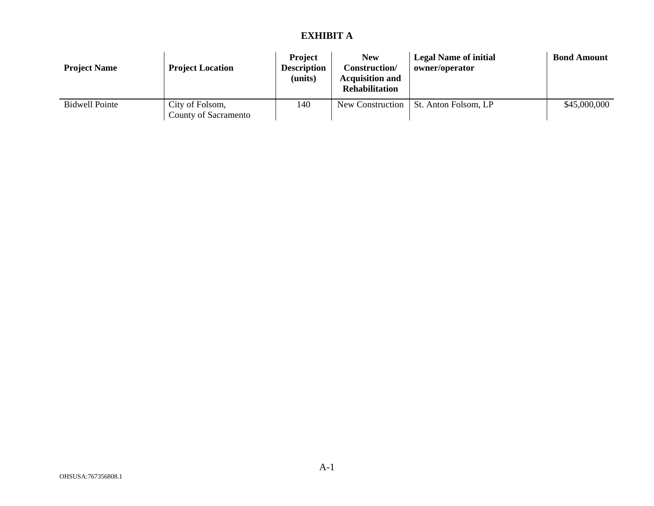#### **EXHIBIT A**

| <b>Project Name</b> | <b>Project Location</b>                 | <b>Project</b><br><b>Description</b><br>(units) | New<br>Construction/<br><b>Acquisition and</b><br><b>Rehabilitation</b> | <b>Legal Name of initial</b><br>owner/operator | <b>Bond Amount</b> |
|---------------------|-----------------------------------------|-------------------------------------------------|-------------------------------------------------------------------------|------------------------------------------------|--------------------|
| Bidwell Pointe      | City of Folsom,<br>County of Sacramento | 140                                             | New Construction                                                        | St. Anton Folsom, LP                           | \$45,000,000       |